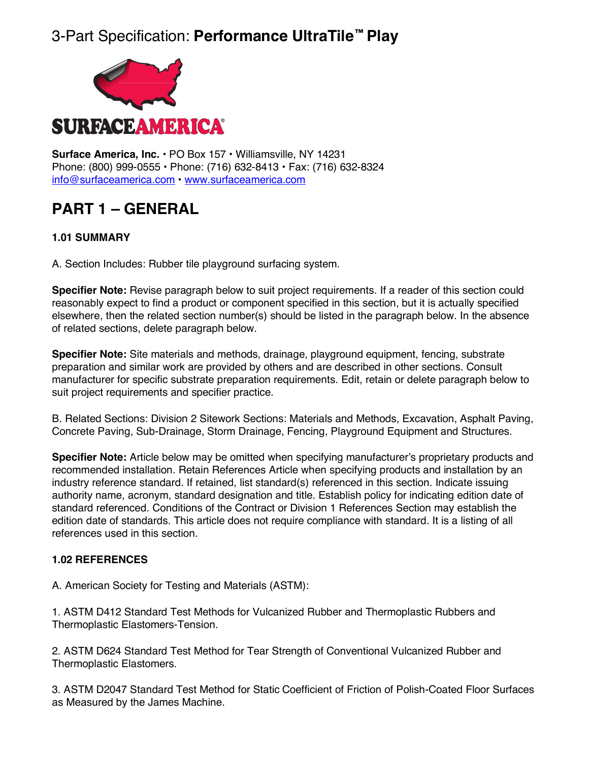## 3-Part Specification: **Performance UltraTile™ Play**



**Surface America, Inc. •** PO Box 157 • Williamsville, NY 14231 Phone: (800) 999-0555 • Phone: (716) 632-8413 • Fax: (716) 632-8324 info@surfaceamerica.com • www.surfaceamerica.com

## **PART 1 – GENERAL**

## **1.01 SUMMARY**

A. Section Includes: Rubber tile playground surfacing system.

**Specifier Note:** Revise paragraph below to suit project requirements. If a reader of this section could reasonably expect to find a product or component specified in this section, but it is actually specified elsewhere, then the related section number(s) should be listed in the paragraph below. In the absence of related sections, delete paragraph below.

**Specifier Note:** Site materials and methods, drainage, playground equipment, fencing, substrate preparation and similar work are provided by others and are described in other sections. Consult manufacturer for specific substrate preparation requirements. Edit, retain or delete paragraph below to suit project requirements and specifier practice.

B. Related Sections: Division 2 Sitework Sections: Materials and Methods, Excavation, Asphalt Paving, Concrete Paving, Sub-Drainage, Storm Drainage, Fencing, Playground Equipment and Structures.

**Specifier Note:** Article below may be omitted when specifying manufacturer's proprietary products and recommended installation. Retain References Article when specifying products and installation by an industry reference standard. If retained, list standard(s) referenced in this section. Indicate issuing authority name, acronym, standard designation and title. Establish policy for indicating edition date of standard referenced. Conditions of the Contract or Division 1 References Section may establish the edition date of standards. This article does not require compliance with standard. It is a listing of all references used in this section.

## **1.02 REFERENCES**

A. American Society for Testing and Materials (ASTM):

1. ASTM D412 Standard Test Methods for Vulcanized Rubber and Thermoplastic Rubbers and Thermoplastic Elastomers-Tension.

2. ASTM D624 Standard Test Method for Tear Strength of Conventional Vulcanized Rubber and Thermoplastic Elastomers.

3. ASTM D2047 Standard Test Method for Static Coefficient of Friction of Polish-Coated Floor Surfaces as Measured by the James Machine.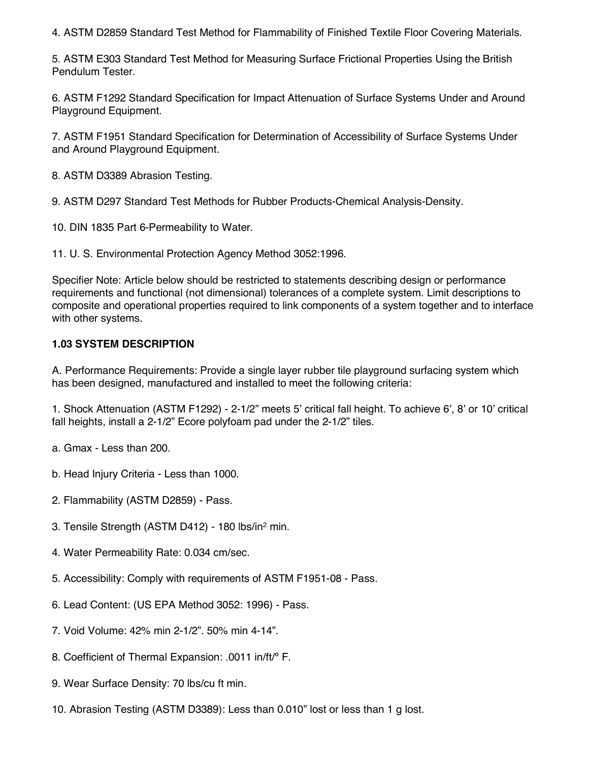4. ASTM D2859 Standard Test Method for Flammability of Finished Textile Floor Covering Materials.

5. ASTM E303 Standard Test Method for Measuring Surface Frictional Properties Using the British Pendulum Tester.

6. ASTM F1292 Standard Specification for Impact Attenuation of Surface Systems Under and Around Playground Equipment.

7. ASTM F1951 Standard Specification for Determination of Accessibility of Surface Systems Under and Around Playground Equipment.

8. ASTM D3389 Abrasion Testing.

9. ASTM D297 Standard Test Methods for Rubber Products-Chemical Analysis-Density.

10. DIN 1835 Part 6-Permeability to Water.

11. U. S. Environmental Protection Agency Method 3052:1996.

Specifier Note: Article below should be restricted to statements describing design or performance requirements and functional (not dimensional) tolerances of a complete system. Limit descriptions to composite and operational properties required to link components of a system together and to interface with other systems.

## **1.03 SYSTEM DESCRIPTION**

A. Performance Requirements: Provide a single layer rubber tile playground surfacing system which has been designed, manufactured and installed to meet the following criteria:

1. Shock Attenuation (ASTM F1292) - 2-1/2" meets 5' critical fall height. To achieve 6', 8' or 10' critical fall heights, install a 2-1/2" Ecore polyfoam pad under the 2-1/2" tiles.

- a. Gmax Less than 200.
- b. Head Injury Criteria Less than 1000.
- 2. Flammability (ASTM D2859) Pass.
- 3. Tensile Strength (ASTM D412) 180 lbs/in2 min.
- 4. Water Permeability Rate: 0.034 cm/sec.
- 5. Accessibility: Comply with requirements of ASTM F1951-08 Pass.
- 6. Lead Content: (US EPA Method 3052: 1996) Pass.
- 7. Void Volume: 42% min 2-1/2". 50% min 4-14".
- 8. Coefficient of Thermal Expansion: .0011 in/ft/<sup>o</sup> F.
- 9. Wear Surface Density: 70 lbs/cu ft min.
- 10. Abrasion Testing (ASTM D3389): Less than 0.010" lost or less than 1 g lost.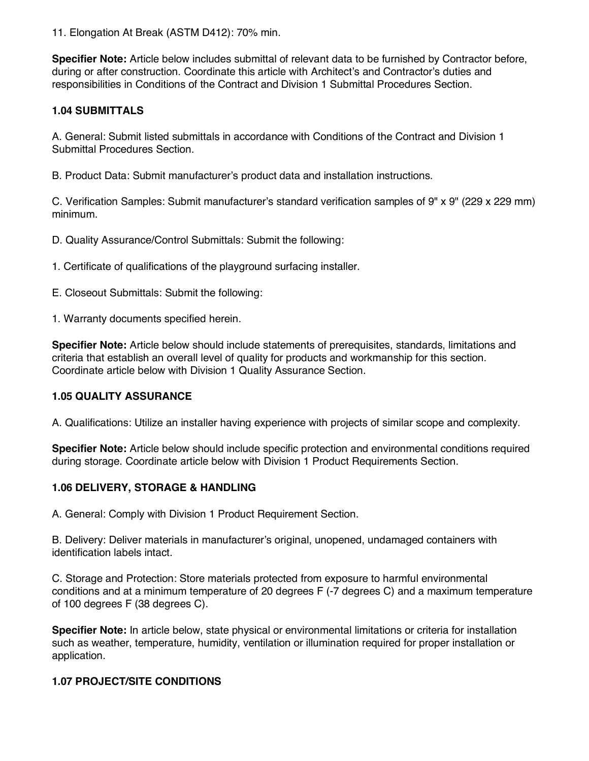11. Elongation At Break (ASTM D412): 70% min.

**Specifier Note:** Article below includes submittal of relevant data to be furnished by Contractor before, during or after construction. Coordinate this article with Architect's and Contractor's duties and responsibilities in Conditions of the Contract and Division 1 Submittal Procedures Section.

## **1.04 SUBMITTALS**

A. General: Submit listed submittals in accordance with Conditions of the Contract and Division 1 Submittal Procedures Section.

B. Product Data: Submit manufacturer's product data and installation instructions.

C. Verification Samples: Submit manufacturer's standard verification samples of 9" x 9" (229 x 229 mm) minimum.

D. Quality Assurance/Control Submittals: Submit the following:

1. Certificate of qualifications of the playground surfacing installer.

E. Closeout Submittals: Submit the following:

1. Warranty documents specified herein.

**Specifier Note:** Article below should include statements of prerequisites, standards, limitations and criteria that establish an overall level of quality for products and workmanship for this section. Coordinate article below with Division 1 Quality Assurance Section.

### **1.05 QUALITY ASSURANCE**

A. Qualifications: Utilize an installer having experience with projects of similar scope and complexity.

**Specifier Note:** Article below should include specific protection and environmental conditions required during storage. Coordinate article below with Division 1 Product Requirements Section.

### **1.06 DELIVERY, STORAGE & HANDLING**

A. General: Comply with Division 1 Product Requirement Section.

B. Delivery: Deliver materials in manufacturer's original, unopened, undamaged containers with identification labels intact.

C. Storage and Protection: Store materials protected from exposure to harmful environmental conditions and at a minimum temperature of 20 degrees F (-7 degrees C) and a maximum temperature of 100 degrees F (38 degrees C).

**Specifier Note:** In article below, state physical or environmental limitations or criteria for installation such as weather, temperature, humidity, ventilation or illumination required for proper installation or application.

### **1.07 PROJECT/SITE CONDITIONS**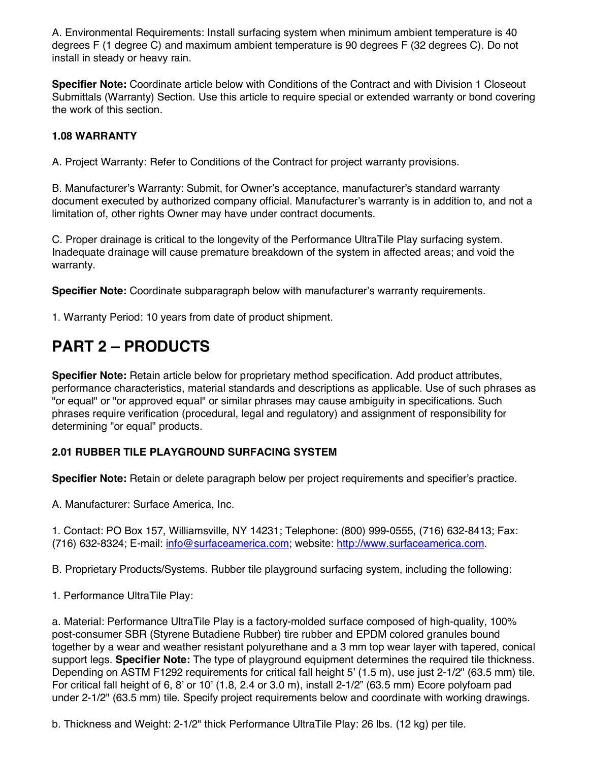A. Environmental Requirements: Install surfacing system when minimum ambient temperature is 40 degrees F (1 degree C) and maximum ambient temperature is 90 degrees F (32 degrees C). Do not install in steady or heavy rain.

**Specifier Note:** Coordinate article below with Conditions of the Contract and with Division 1 Closeout Submittals (Warranty) Section. Use this article to require special or extended warranty or bond covering the work of this section.

## **1.08 WARRANTY**

A. Project Warranty: Refer to Conditions of the Contract for project warranty provisions.

B. Manufacturer's Warranty: Submit, for Owner's acceptance, manufacturer's standard warranty document executed by authorized company official. Manufacturer's warranty is in addition to, and not a limitation of, other rights Owner may have under contract documents.

C. Proper drainage is critical to the longevity of the Performance UltraTile Play surfacing system. Inadequate drainage will cause premature breakdown of the system in affected areas; and void the warranty.

**Specifier Note:** Coordinate subparagraph below with manufacturer's warranty requirements.

1. Warranty Period: 10 years from date of product shipment.

## **PART 2 – PRODUCTS**

**Specifier Note:** Retain article below for proprietary method specification. Add product attributes, performance characteristics, material standards and descriptions as applicable. Use of such phrases as "or equal" or "or approved equal" or similar phrases may cause ambiguity in specifications. Such phrases require verification (procedural, legal and regulatory) and assignment of responsibility for determining "or equal" products.

## **2.01 RUBBER TILE PLAYGROUND SURFACING SYSTEM**

**Specifier Note:** Retain or delete paragraph below per project requirements and specifier's practice.

A. Manufacturer: Surface America, Inc.

1. Contact: PO Box 157, Williamsville, NY 14231; Telephone: (800) 999-0555, (716) 632-8413; Fax: (716) 632-8324; E-mail: info@surfaceamerica.com; website: http://www.surfaceamerica.com.

B. Proprietary Products/Systems. Rubber tile playground surfacing system, including the following:

1. Performance UltraTile Play:

a. Material: Performance UltraTile Play is a factory-molded surface composed of high-quality, 100% post-consumer SBR (Styrene Butadiene Rubber) tire rubber and EPDM colored granules bound together by a wear and weather resistant polyurethane and a 3 mm top wear layer with tapered, conical support legs. **Specifier Note:** The type of playground equipment determines the required tile thickness. Depending on ASTM F1292 requirements for critical fall height 5' (1.5 m), use just 2-1/2" (63.5 mm) tile. For critical fall height of 6, 8' or 10' (1.8, 2.4 or 3.0 m), install  $2-1/2$ " (63.5 mm) Ecore polyfoam pad under 2-1/2" (63.5 mm) tile. Specify project requirements below and coordinate with working drawings.

b. Thickness and Weight: 2-1/2" thick Performance UltraTile Play: 26 lbs. (12 kg) per tile.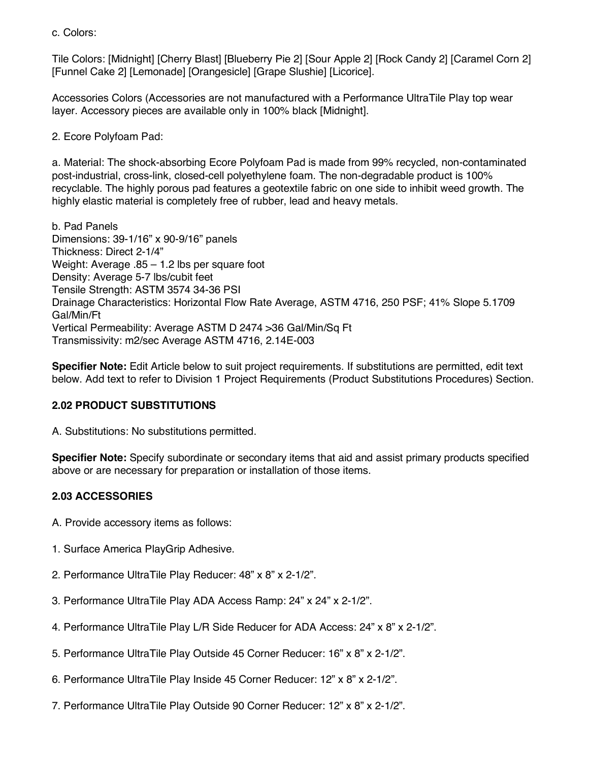c. Colors:

Tile Colors: [Midnight] [Cherry Blast] [Blueberry Pie 2] [Sour Apple 2] [Rock Candy 2] [Caramel Corn 2] [Funnel Cake 2] [Lemonade] [Orangesicle] [Grape Slushie] [Licorice].

Accessories Colors (Accessories are not manufactured with a Performance UltraTile Play top wear layer. Accessory pieces are available only in 100% black [Midnight].

2. Ecore Polyfoam Pad:

a. Material: The shock-absorbing Ecore Polyfoam Pad is made from 99% recycled, non-contaminated post-industrial, cross-link, closed-cell polyethylene foam. The non-degradable product is 100% recyclable. The highly porous pad features a geotextile fabric on one side to inhibit weed growth. The highly elastic material is completely free of rubber, lead and heavy metals.

b. Pad Panels Dimensions: 39-1/16" x 90-9/16" panels Thickness: Direct 2-1/4" Weight: Average .85 – 1.2 lbs per square foot Density: Average 5-7 lbs/cubit feet Tensile Strength: ASTM 3574 34-36 PSI Drainage Characteristics: Horizontal Flow Rate Average, ASTM 4716, 250 PSF; 41% Slope 5.1709 Gal/Min/Ft Vertical Permeability: Average ASTM D 2474 >36 Gal/Min/Sq Ft Transmissivity: m2/sec Average ASTM 4716, 2.14E-003

**Specifier Note:** Edit Article below to suit project requirements. If substitutions are permitted, edit text below. Add text to refer to Division 1 Project Requirements (Product Substitutions Procedures) Section.

### **2.02 PRODUCT SUBSTITUTIONS**

A. Substitutions: No substitutions permitted.

**Specifier Note:** Specify subordinate or secondary items that aid and assist primary products specified above or are necessary for preparation or installation of those items.

### **2.03 ACCESSORIES**

- A. Provide accessory items as follows:
- 1. Surface America PlayGrip Adhesive.
- 2. Performance UltraTile Play Reducer: 48" x 8" x 2-1/2".
- 3. Performance UltraTile Play ADA Access Ramp: 24" x 24" x 2-1/2".
- 4. Performance UltraTile Play L/R Side Reducer for ADA Access: 24" x 8" x 2-1/2".
- 5. Performance UltraTile Play Outside 45 Corner Reducer: 16" x 8" x 2-1/2".
- 6. Performance UltraTile Play Inside 45 Corner Reducer: 12" x 8" x 2-1/2".
- 7. Performance UltraTile Play Outside 90 Corner Reducer: 12" x 8" x 2-1/2".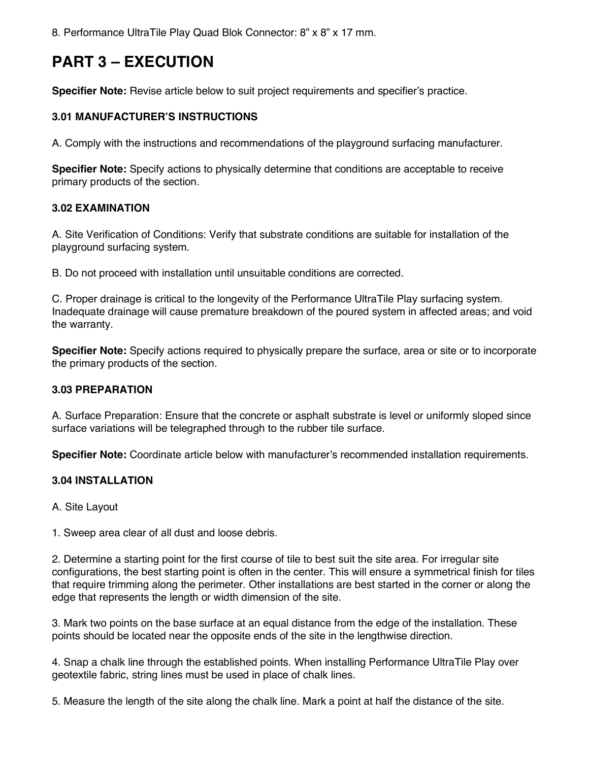8. Performance UltraTile Play Quad Blok Connector: 8" x 8" x 17 mm.

# **PART 3 – EXECUTION**

**Specifier Note:** Revise article below to suit project requirements and specifier's practice.

## **3.01 MANUFACTURER'S INSTRUCTIONS**

A. Comply with the instructions and recommendations of the playground surfacing manufacturer.

**Specifier Note:** Specify actions to physically determine that conditions are acceptable to receive primary products of the section.

### **3.02 EXAMINATION**

A. Site Verification of Conditions: Verify that substrate conditions are suitable for installation of the playground surfacing system.

B. Do not proceed with installation until unsuitable conditions are corrected.

C. Proper drainage is critical to the longevity of the Performance UltraTile Play surfacing system. Inadequate drainage will cause premature breakdown of the poured system in affected areas; and void the warranty.

**Specifier Note:** Specify actions required to physically prepare the surface, area or site or to incorporate the primary products of the section.

### **3.03 PREPARATION**

A. Surface Preparation: Ensure that the concrete or asphalt substrate is level or uniformly sloped since surface variations will be telegraphed through to the rubber tile surface.

**Specifier Note:** Coordinate article below with manufacturer's recommended installation requirements.

### **3.04 INSTALLATION**

A. Site Layout

1. Sweep area clear of all dust and loose debris.

2. Determine a starting point for the first course of tile to best suit the site area. For irregular site configurations, the best starting point is often in the center. This will ensure a symmetrical finish for tiles that require trimming along the perimeter. Other installations are best started in the corner or along the edge that represents the length or width dimension of the site.

3. Mark two points on the base surface at an equal distance from the edge of the installation. These points should be located near the opposite ends of the site in the lengthwise direction.

4. Snap a chalk line through the established points. When installing Performance UltraTile Play over geotextile fabric, string lines must be used in place of chalk lines.

5. Measure the length of the site along the chalk line. Mark a point at half the distance of the site.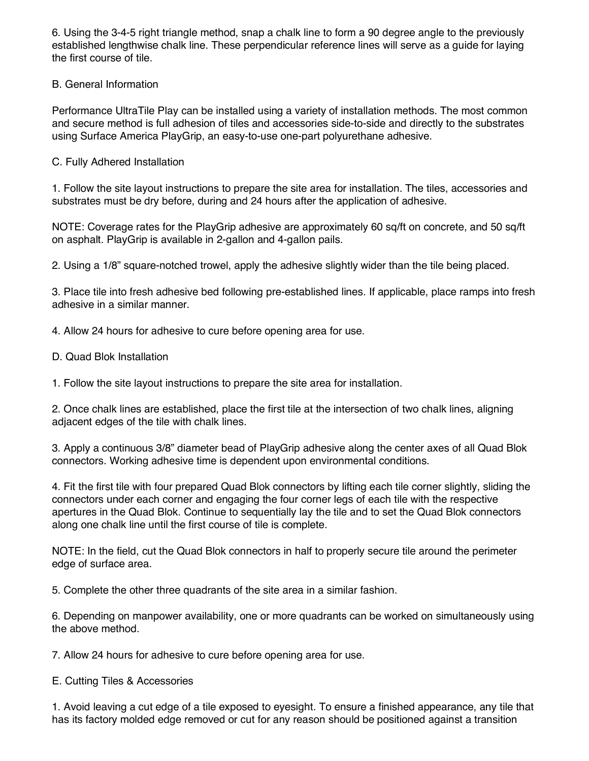6. Using the 3-4-5 right triangle method, snap a chalk line to form a 90 degree angle to the previously established lengthwise chalk line. These perpendicular reference lines will serve as a guide for laying the first course of tile.

## B. General Information

Performance UltraTile Play can be installed using a variety of installation methods. The most common and secure method is full adhesion of tiles and accessories side-to-side and directly to the substrates using Surface America PlayGrip, an easy-to-use one-part polyurethane adhesive.

C. Fully Adhered Installation

1. Follow the site layout instructions to prepare the site area for installation. The tiles, accessories and substrates must be dry before, during and 24 hours after the application of adhesive.

NOTE: Coverage rates for the PlayGrip adhesive are approximately 60 sq/ft on concrete, and 50 sq/ft on asphalt. PlayGrip is available in 2-gallon and 4-gallon pails.

2. Using a 1/8" square-notched trowel, apply the adhesive slightly wider than the tile being placed.

3. Place tile into fresh adhesive bed following pre-established lines. If applicable, place ramps into fresh adhesive in a similar manner.

4. Allow 24 hours for adhesive to cure before opening area for use.

D. Quad Blok Installation

1. Follow the site layout instructions to prepare the site area for installation.

2. Once chalk lines are established, place the first tile at the intersection of two chalk lines, aligning adjacent edges of the tile with chalk lines.

3. Apply a continuous 3/8" diameter bead of PlayGrip adhesive along the center axes of all Quad Blok connectors. Working adhesive time is dependent upon environmental conditions.

4. Fit the first tile with four prepared Quad Blok connectors by lifting each tile corner slightly, sliding the connectors under each corner and engaging the four corner legs of each tile with the respective apertures in the Quad Blok. Continue to sequentially lay the tile and to set the Quad Blok connectors along one chalk line until the first course of tile is complete.

NOTE: In the field, cut the Quad Blok connectors in half to properly secure tile around the perimeter edge of surface area.

5. Complete the other three quadrants of the site area in a similar fashion.

6. Depending on manpower availability, one or more quadrants can be worked on simultaneously using the above method.

7. Allow 24 hours for adhesive to cure before opening area for use.

E. Cutting Tiles & Accessories

1. Avoid leaving a cut edge of a tile exposed to eyesight. To ensure a finished appearance, any tile that has its factory molded edge removed or cut for any reason should be positioned against a transition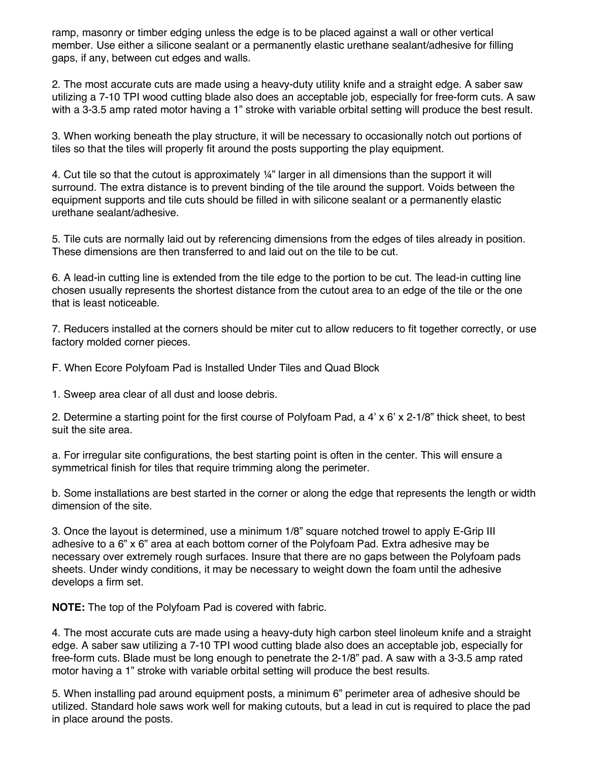ramp, masonry or timber edging unless the edge is to be placed against a wall or other vertical member. Use either a silicone sealant or a permanently elastic urethane sealant/adhesive for filling gaps, if any, between cut edges and walls.

2. The most accurate cuts are made using a heavy-duty utility knife and a straight edge. A saber saw utilizing a 7-10 TPI wood cutting blade also does an acceptable job, especially for free-form cuts. A saw with a 3-3.5 amp rated motor having a 1" stroke with variable orbital setting will produce the best result.

3. When working beneath the play structure, it will be necessary to occasionally notch out portions of tiles so that the tiles will properly fit around the posts supporting the play equipment.

4. Cut tile so that the cutout is approximately 1/4" larger in all dimensions than the support it will surround. The extra distance is to prevent binding of the tile around the support. Voids between the equipment supports and tile cuts should be filled in with silicone sealant or a permanently elastic urethane sealant/adhesive.

5. Tile cuts are normally laid out by referencing dimensions from the edges of tiles already in position. These dimensions are then transferred to and laid out on the tile to be cut.

6. A lead-in cutting line is extended from the tile edge to the portion to be cut. The lead-in cutting line chosen usually represents the shortest distance from the cutout area to an edge of the tile or the one that is least noticeable.

7. Reducers installed at the corners should be miter cut to allow reducers to fit together correctly, or use factory molded corner pieces.

F. When Ecore Polyfoam Pad is Installed Under Tiles and Quad Block

1. Sweep area clear of all dust and loose debris.

2. Determine a starting point for the first course of Polyfoam Pad, a 4' x 6' x 2-1/8" thick sheet, to best suit the site area.

a. For irregular site configurations, the best starting point is often in the center. This will ensure a symmetrical finish for tiles that require trimming along the perimeter.

b. Some installations are best started in the corner or along the edge that represents the length or width dimension of the site.

3. Once the layout is determined, use a minimum 1/8" square notched trowel to apply E-Grip III adhesive to a 6" x 6" area at each bottom corner of the Polyfoam Pad. Extra adhesive may be necessary over extremely rough surfaces. Insure that there are no gaps between the Polyfoam pads sheets. Under windy conditions, it may be necessary to weight down the foam until the adhesive develops a firm set.

**NOTE:** The top of the Polyfoam Pad is covered with fabric.

4. The most accurate cuts are made using a heavy-duty high carbon steel linoleum knife and a straight edge. A saber saw utilizing a 7-10 TPI wood cutting blade also does an acceptable job, especially for free-form cuts. Blade must be long enough to penetrate the 2-1/8" pad. A saw with a 3-3.5 amp rated motor having a 1" stroke with variable orbital setting will produce the best results.

5. When installing pad around equipment posts, a minimum 6" perimeter area of adhesive should be utilized. Standard hole saws work well for making cutouts, but a lead in cut is required to place the pad in place around the posts.